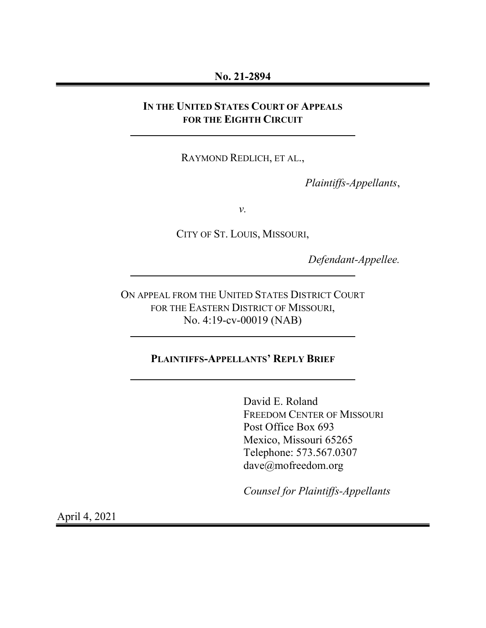#### No. 21-2894

### IN THE UNITED STATES COURT OF APPEALS FOR THE EIGHTH CIRCUIT

RAYMOND REDLICH, ET AL.,

Plaintiffs-Appellants,

v.

CITY OF ST. LOUIS, MISSOURI,

Defendant-Appellee.

ON APPEAL FROM THE UNITED STATES DISTRICT COURT FOR THE EASTERN DISTRICT OF MISSOURI, No. 4:19-cv-00019 (NAB)

### PLAINTIFFS-APPELLANTS' REPLY BRIEF

David E. Roland FREEDOM CENTER OF MISSOURI Post Office Box 693 Mexico, Missouri 65265 Telephone: 573.567.0307 dave@mofreedom.org

Counsel for Plaintiffs-Appellants

April 4, 2021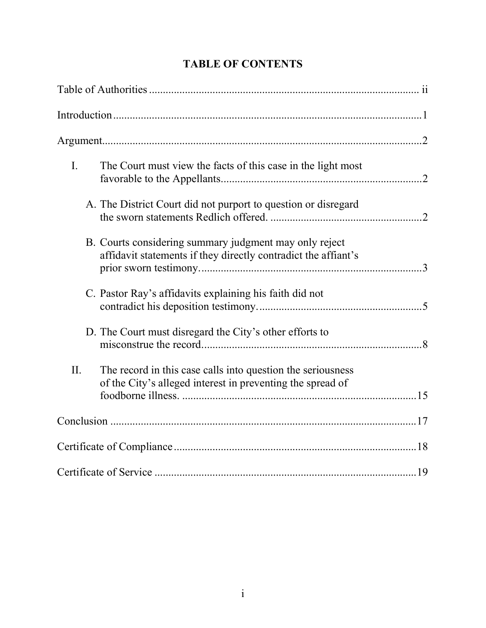| I.  | The Court must view the facts of this case in the light most                                                              |
|-----|---------------------------------------------------------------------------------------------------------------------------|
|     | A. The District Court did not purport to question or disregard                                                            |
|     | B. Courts considering summary judgment may only reject<br>affidavit statements if they directly contradict the affiant's  |
|     | C. Pastor Ray's affidavits explaining his faith did not                                                                   |
|     | D. The Court must disregard the City's other efforts to                                                                   |
| II. | The record in this case calls into question the seriousness<br>of the City's alleged interest in preventing the spread of |
|     |                                                                                                                           |
|     |                                                                                                                           |
|     |                                                                                                                           |

# TABLE OF CONTENTS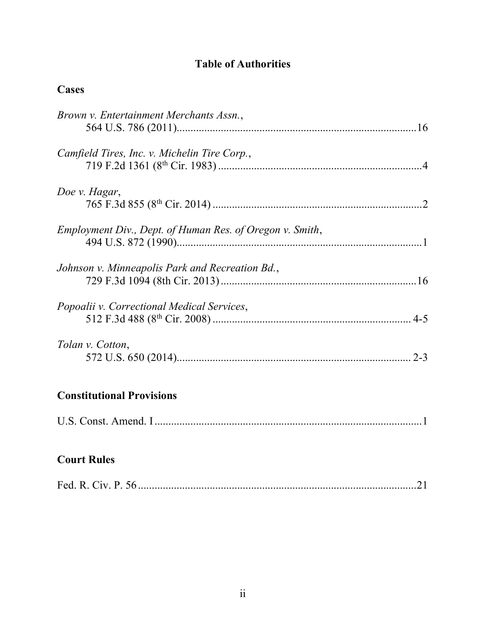## Table of Authorities

## **Cases**

| Brown v. Entertainment Merchants Assn.,                  |
|----------------------------------------------------------|
| Camfield Tires, Inc. v. Michelin Tire Corp.,             |
| Doe v. Hagar,                                            |
| Employment Div., Dept. of Human Res. of Oregon v. Smith, |
| Johnson v. Minneapolis Park and Recreation Bd.,          |
| Popoalii v. Correctional Medical Services,               |
| Tolan v. Cotton,                                         |
| <b>Constitutional Provisions</b>                         |
|                                                          |

## Court Rules

|--|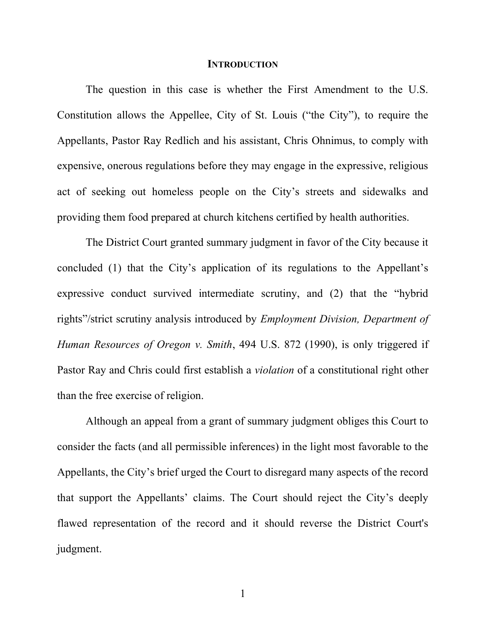#### **INTRODUCTION**

The question in this case is whether the First Amendment to the U.S. Constitution allows the Appellee, City of St. Louis ("the City"), to require the Appellants, Pastor Ray Redlich and his assistant, Chris Ohnimus, to comply with expensive, onerous regulations before they may engage in the expressive, religious act of seeking out homeless people on the City's streets and sidewalks and providing them food prepared at church kitchens certified by health authorities.

The District Court granted summary judgment in favor of the City because it concluded (1) that the City's application of its regulations to the Appellant's expressive conduct survived intermediate scrutiny, and (2) that the "hybrid rights"/strict scrutiny analysis introduced by Employment Division, Department of Human Resources of Oregon v. Smith, 494 U.S. 872 (1990), is only triggered if Pastor Ray and Chris could first establish a violation of a constitutional right other than the free exercise of religion.

Although an appeal from a grant of summary judgment obliges this Court to consider the facts (and all permissible inferences) in the light most favorable to the Appellants, the City's brief urged the Court to disregard many aspects of the record that support the Appellants' claims. The Court should reject the City's deeply flawed representation of the record and it should reverse the District Court's judgment.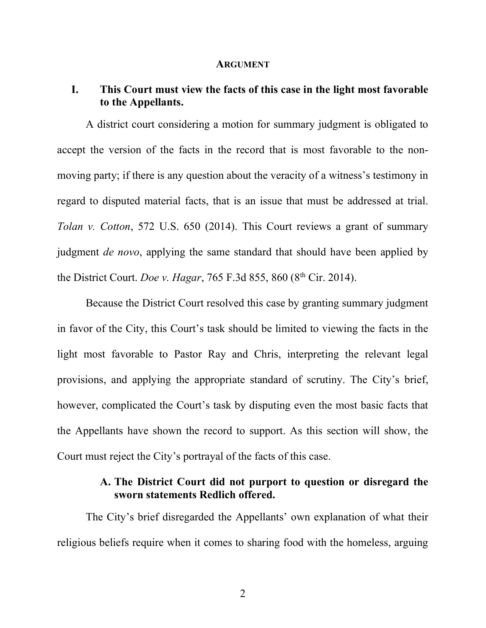#### ARGUMENT

#### I. This Court must view the facts of this case in the light most favorable to the Appellants.

A district court considering a motion for summary judgment is obligated to accept the version of the facts in the record that is most favorable to the nonmoving party; if there is any question about the veracity of a witness's testimony in regard to disputed material facts, that is an issue that must be addressed at trial. Tolan v. Cotton, 572 U.S. 650 (2014). This Court reviews a grant of summary judgment *de novo*, applying the same standard that should have been applied by the District Court. Doe v. Hagar, 765 F.3d 855, 860 ( $8<sup>th</sup>$  Cir. 2014).

Because the District Court resolved this case by granting summary judgment in favor of the City, this Court's task should be limited to viewing the facts in the light most favorable to Pastor Ray and Chris, interpreting the relevant legal provisions, and applying the appropriate standard of scrutiny. The City's brief, however, complicated the Court's task by disputing even the most basic facts that the Appellants have shown the record to support. As this section will show, the Court must reject the City's portrayal of the facts of this case.

### A. The District Court did not purport to question or disregard the sworn statements Redlich offered.

The City's brief disregarded the Appellants' own explanation of what their religious beliefs require when it comes to sharing food with the homeless, arguing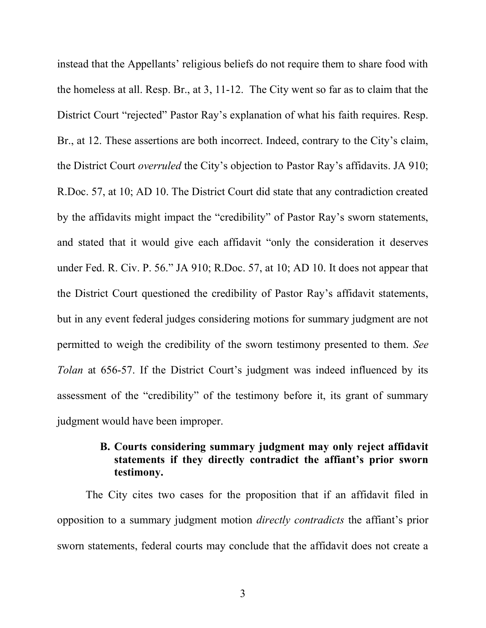instead that the Appellants' religious beliefs do not require them to share food with the homeless at all. Resp. Br., at 3, 11-12. The City went so far as to claim that the District Court "rejected" Pastor Ray's explanation of what his faith requires. Resp. Br., at 12. These assertions are both incorrect. Indeed, contrary to the City's claim, the District Court overruled the City's objection to Pastor Ray's affidavits. JA 910; R.Doc. 57, at 10; AD 10. The District Court did state that any contradiction created by the affidavits might impact the "credibility" of Pastor Ray's sworn statements, and stated that it would give each affidavit "only the consideration it deserves under Fed. R. Civ. P. 56." JA 910; R.Doc. 57, at 10; AD 10. It does not appear that the District Court questioned the credibility of Pastor Ray's affidavit statements, but in any event federal judges considering motions for summary judgment are not permitted to weigh the credibility of the sworn testimony presented to them. See Tolan at 656-57. If the District Court's judgment was indeed influenced by its assessment of the "credibility" of the testimony before it, its grant of summary judgment would have been improper.

## B. Courts considering summary judgment may only reject affidavit statements if they directly contradict the affiant's prior sworn testimony.

The City cites two cases for the proposition that if an affidavit filed in opposition to a summary judgment motion directly contradicts the affiant's prior sworn statements, federal courts may conclude that the affidavit does not create a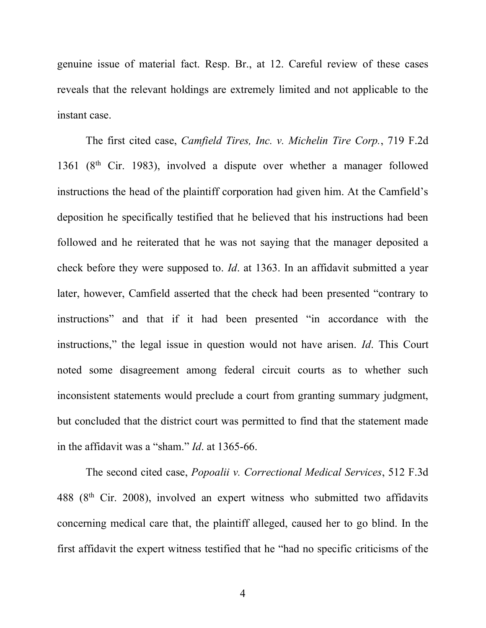genuine issue of material fact. Resp. Br., at 12. Careful review of these cases reveals that the relevant holdings are extremely limited and not applicable to the instant case.

The first cited case, Camfield Tires, Inc. v. Michelin Tire Corp., 719 F.2d 1361 ( $8<sup>th</sup>$  Cir. 1983), involved a dispute over whether a manager followed instructions the head of the plaintiff corporation had given him. At the Camfield's deposition he specifically testified that he believed that his instructions had been followed and he reiterated that he was not saying that the manager deposited a check before they were supposed to. Id. at 1363. In an affidavit submitted a year later, however, Camfield asserted that the check had been presented "contrary to instructions" and that if it had been presented "in accordance with the instructions," the legal issue in question would not have arisen. Id. This Court noted some disagreement among federal circuit courts as to whether such inconsistent statements would preclude a court from granting summary judgment, but concluded that the district court was permitted to find that the statement made in the affidavit was a "sham." Id. at 1365-66.

The second cited case, Popoalii v. Correctional Medical Services, 512 F.3d 488 (8<sup>th</sup> Cir. 2008), involved an expert witness who submitted two affidavits concerning medical care that, the plaintiff alleged, caused her to go blind. In the first affidavit the expert witness testified that he "had no specific criticisms of the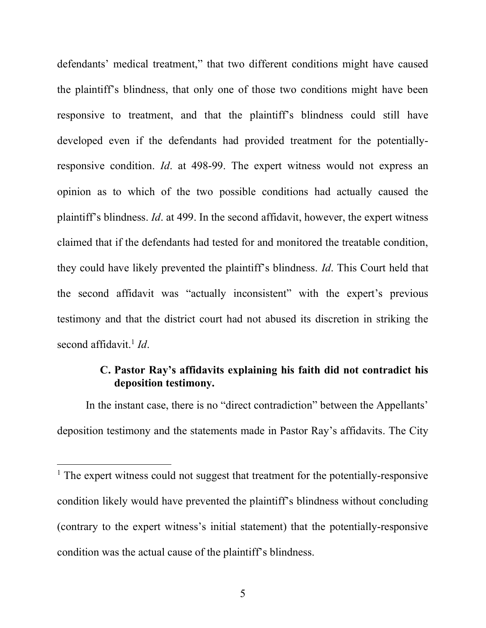defendants' medical treatment," that two different conditions might have caused the plaintiff's blindness, that only one of those two conditions might have been responsive to treatment, and that the plaintiff's blindness could still have developed even if the defendants had provided treatment for the potentiallyresponsive condition. Id. at 498-99. The expert witness would not express an opinion as to which of the two possible conditions had actually caused the plaintiff's blindness. Id. at 499. In the second affidavit, however, the expert witness claimed that if the defendants had tested for and monitored the treatable condition, they could have likely prevented the plaintiff's blindness. Id. This Court held that the second affidavit was "actually inconsistent" with the expert's previous testimony and that the district court had not abused its discretion in striking the second affidavit.<sup>1</sup> Id.

### C. Pastor Ray's affidavits explaining his faith did not contradict his deposition testimony.

In the instant case, there is no "direct contradiction" between the Appellants' deposition testimony and the statements made in Pastor Ray's affidavits. The City

<sup>&</sup>lt;sup>1</sup> The expert witness could not suggest that treatment for the potentially-responsive condition likely would have prevented the plaintiff's blindness without concluding (contrary to the expert witness's initial statement) that the potentially-responsive condition was the actual cause of the plaintiff's blindness.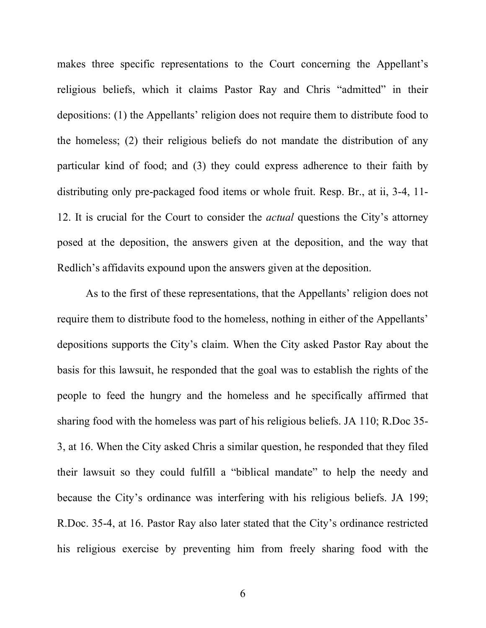makes three specific representations to the Court concerning the Appellant's religious beliefs, which it claims Pastor Ray and Chris "admitted" in their depositions: (1) the Appellants' religion does not require them to distribute food to the homeless; (2) their religious beliefs do not mandate the distribution of any particular kind of food; and (3) they could express adherence to their faith by distributing only pre-packaged food items or whole fruit. Resp. Br., at ii, 3-4, 11- 12. It is crucial for the Court to consider the *actual* questions the City's attorney posed at the deposition, the answers given at the deposition, and the way that Redlich's affidavits expound upon the answers given at the deposition.

As to the first of these representations, that the Appellants' religion does not require them to distribute food to the homeless, nothing in either of the Appellants' depositions supports the City's claim. When the City asked Pastor Ray about the basis for this lawsuit, he responded that the goal was to establish the rights of the people to feed the hungry and the homeless and he specifically affirmed that sharing food with the homeless was part of his religious beliefs. JA 110; R.Doc 35- 3, at 16. When the City asked Chris a similar question, he responded that they filed their lawsuit so they could fulfill a "biblical mandate" to help the needy and because the City's ordinance was interfering with his religious beliefs. JA 199; R.Doc. 35-4, at 16. Pastor Ray also later stated that the City's ordinance restricted his religious exercise by preventing him from freely sharing food with the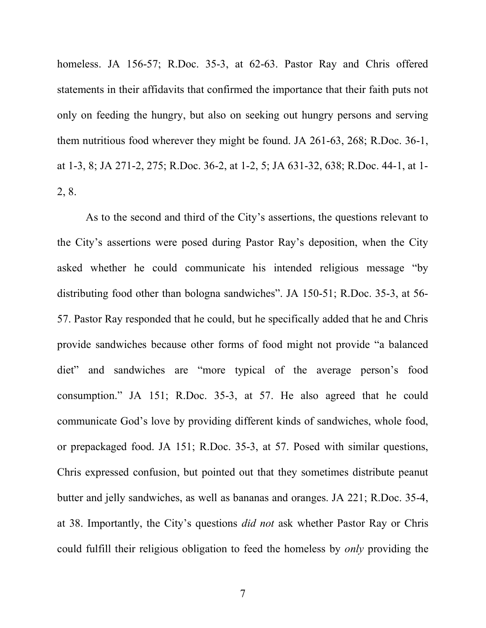homeless. JA 156-57; R.Doc. 35-3, at 62-63. Pastor Ray and Chris offered statements in their affidavits that confirmed the importance that their faith puts not only on feeding the hungry, but also on seeking out hungry persons and serving them nutritious food wherever they might be found. JA 261-63, 268; R.Doc. 36-1, at 1-3, 8; JA 271-2, 275; R.Doc. 36-2, at 1-2, 5; JA 631-32, 638; R.Doc. 44-1, at 1- 2, 8.

As to the second and third of the City's assertions, the questions relevant to the City's assertions were posed during Pastor Ray's deposition, when the City asked whether he could communicate his intended religious message "by distributing food other than bologna sandwiches". JA 150-51; R.Doc. 35-3, at 56- 57. Pastor Ray responded that he could, but he specifically added that he and Chris provide sandwiches because other forms of food might not provide "a balanced diet" and sandwiches are "more typical of the average person's food consumption." JA 151; R.Doc. 35-3, at 57. He also agreed that he could communicate God's love by providing different kinds of sandwiches, whole food, or prepackaged food. JA 151; R.Doc. 35-3, at 57. Posed with similar questions, Chris expressed confusion, but pointed out that they sometimes distribute peanut butter and jelly sandwiches, as well as bananas and oranges. JA 221; R.Doc. 35-4, at 38. Importantly, the City's questions did not ask whether Pastor Ray or Chris could fulfill their religious obligation to feed the homeless by only providing the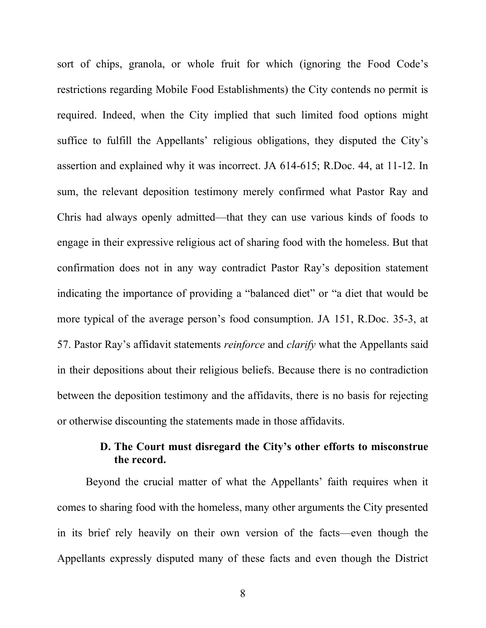sort of chips, granola, or whole fruit for which (ignoring the Food Code's restrictions regarding Mobile Food Establishments) the City contends no permit is required. Indeed, when the City implied that such limited food options might suffice to fulfill the Appellants' religious obligations, they disputed the City's assertion and explained why it was incorrect. JA 614-615; R.Doc. 44, at 11-12. In sum, the relevant deposition testimony merely confirmed what Pastor Ray and Chris had always openly admitted—that they can use various kinds of foods to engage in their expressive religious act of sharing food with the homeless. But that confirmation does not in any way contradict Pastor Ray's deposition statement indicating the importance of providing a "balanced diet" or "a diet that would be more typical of the average person's food consumption. JA 151, R.Doc. 35-3, at 57. Pastor Ray's affidavit statements reinforce and clarify what the Appellants said in their depositions about their religious beliefs. Because there is no contradiction between the deposition testimony and the affidavits, there is no basis for rejecting or otherwise discounting the statements made in those affidavits.

## D. The Court must disregard the City's other efforts to misconstrue the record.

Beyond the crucial matter of what the Appellants' faith requires when it comes to sharing food with the homeless, many other arguments the City presented in its brief rely heavily on their own version of the facts—even though the Appellants expressly disputed many of these facts and even though the District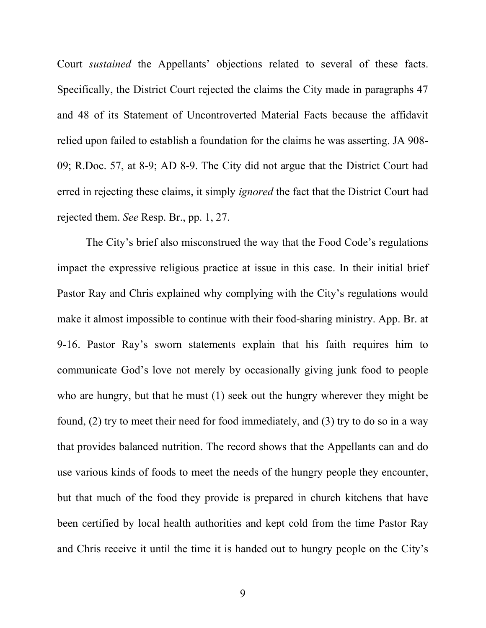Court sustained the Appellants' objections related to several of these facts. Specifically, the District Court rejected the claims the City made in paragraphs 47 and 48 of its Statement of Uncontroverted Material Facts because the affidavit relied upon failed to establish a foundation for the claims he was asserting. JA 908- 09; R.Doc. 57, at 8-9; AD 8-9. The City did not argue that the District Court had erred in rejecting these claims, it simply *ignored* the fact that the District Court had rejected them. See Resp. Br., pp. 1, 27.

The City's brief also misconstrued the way that the Food Code's regulations impact the expressive religious practice at issue in this case. In their initial brief Pastor Ray and Chris explained why complying with the City's regulations would make it almost impossible to continue with their food-sharing ministry. App. Br. at 9-16. Pastor Ray's sworn statements explain that his faith requires him to communicate God's love not merely by occasionally giving junk food to people who are hungry, but that he must (1) seek out the hungry wherever they might be found, (2) try to meet their need for food immediately, and (3) try to do so in a way that provides balanced nutrition. The record shows that the Appellants can and do use various kinds of foods to meet the needs of the hungry people they encounter, but that much of the food they provide is prepared in church kitchens that have been certified by local health authorities and kept cold from the time Pastor Ray and Chris receive it until the time it is handed out to hungry people on the City's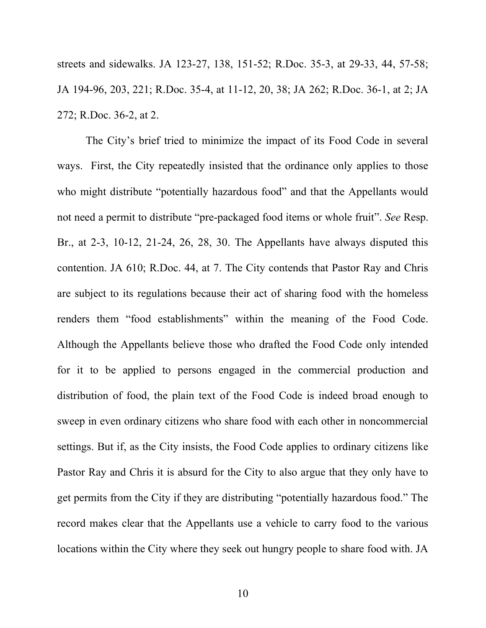streets and sidewalks. JA 123-27, 138, 151-52; R.Doc. 35-3, at 29-33, 44, 57-58; JA 194-96, 203, 221; R.Doc. 35-4, at 11-12, 20, 38; JA 262; R.Doc. 36-1, at 2; JA 272; R.Doc. 36-2, at 2.

The City's brief tried to minimize the impact of its Food Code in several ways. First, the City repeatedly insisted that the ordinance only applies to those who might distribute "potentially hazardous food" and that the Appellants would not need a permit to distribute "pre-packaged food items or whole fruit". See Resp. Br., at 2-3, 10-12, 21-24, 26, 28, 30. The Appellants have always disputed this contention. JA 610; R.Doc. 44, at 7. The City contends that Pastor Ray and Chris are subject to its regulations because their act of sharing food with the homeless renders them "food establishments" within the meaning of the Food Code. Although the Appellants believe those who drafted the Food Code only intended for it to be applied to persons engaged in the commercial production and distribution of food, the plain text of the Food Code is indeed broad enough to sweep in even ordinary citizens who share food with each other in noncommercial settings. But if, as the City insists, the Food Code applies to ordinary citizens like Pastor Ray and Chris it is absurd for the City to also argue that they only have to get permits from the City if they are distributing "potentially hazardous food." The record makes clear that the Appellants use a vehicle to carry food to the various locations within the City where they seek out hungry people to share food with. JA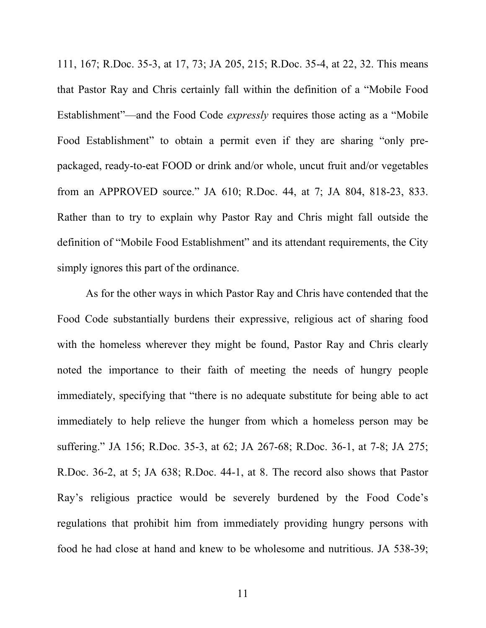111, 167; R.Doc. 35-3, at 17, 73; JA 205, 215; R.Doc. 35-4, at 22, 32. This means that Pastor Ray and Chris certainly fall within the definition of a "Mobile Food Establishment"—and the Food Code expressly requires those acting as a "Mobile Food Establishment" to obtain a permit even if they are sharing "only prepackaged, ready-to-eat FOOD or drink and/or whole, uncut fruit and/or vegetables from an APPROVED source." JA 610; R.Doc. 44, at 7; JA 804, 818-23, 833. Rather than to try to explain why Pastor Ray and Chris might fall outside the definition of "Mobile Food Establishment" and its attendant requirements, the City simply ignores this part of the ordinance.

As for the other ways in which Pastor Ray and Chris have contended that the Food Code substantially burdens their expressive, religious act of sharing food with the homeless wherever they might be found, Pastor Ray and Chris clearly noted the importance to their faith of meeting the needs of hungry people immediately, specifying that "there is no adequate substitute for being able to act immediately to help relieve the hunger from which a homeless person may be suffering." JA 156; R.Doc. 35-3, at 62; JA 267-68; R.Doc. 36-1, at 7-8; JA 275; R.Doc. 36-2, at 5; JA 638; R.Doc. 44-1, at 8. The record also shows that Pastor Ray's religious practice would be severely burdened by the Food Code's regulations that prohibit him from immediately providing hungry persons with food he had close at hand and knew to be wholesome and nutritious. JA 538-39;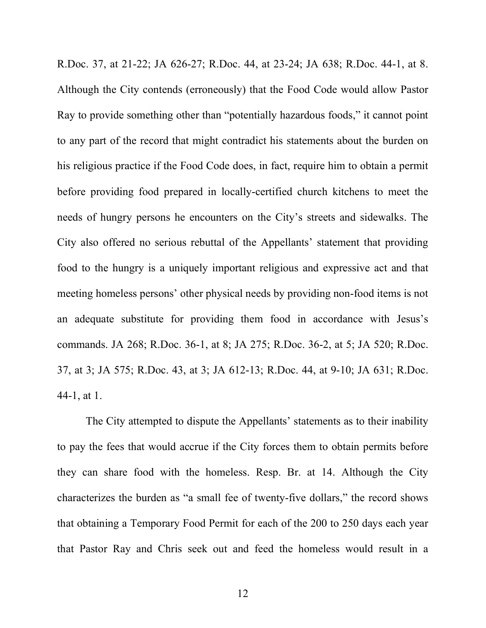R.Doc. 37, at 21-22; JA 626-27; R.Doc. 44, at 23-24; JA 638; R.Doc. 44-1, at 8. Although the City contends (erroneously) that the Food Code would allow Pastor Ray to provide something other than "potentially hazardous foods," it cannot point to any part of the record that might contradict his statements about the burden on his religious practice if the Food Code does, in fact, require him to obtain a permit before providing food prepared in locally-certified church kitchens to meet the needs of hungry persons he encounters on the City's streets and sidewalks. The City also offered no serious rebuttal of the Appellants' statement that providing food to the hungry is a uniquely important religious and expressive act and that meeting homeless persons' other physical needs by providing non-food items is not an adequate substitute for providing them food in accordance with Jesus's commands. JA 268; R.Doc. 36-1, at 8; JA 275; R.Doc. 36-2, at 5; JA 520; R.Doc. 37, at 3; JA 575; R.Doc. 43, at 3; JA 612-13; R.Doc. 44, at 9-10; JA 631; R.Doc. 44-1, at 1.

The City attempted to dispute the Appellants' statements as to their inability to pay the fees that would accrue if the City forces them to obtain permits before they can share food with the homeless. Resp. Br. at 14. Although the City characterizes the burden as "a small fee of twenty-five dollars," the record shows that obtaining a Temporary Food Permit for each of the 200 to 250 days each year that Pastor Ray and Chris seek out and feed the homeless would result in a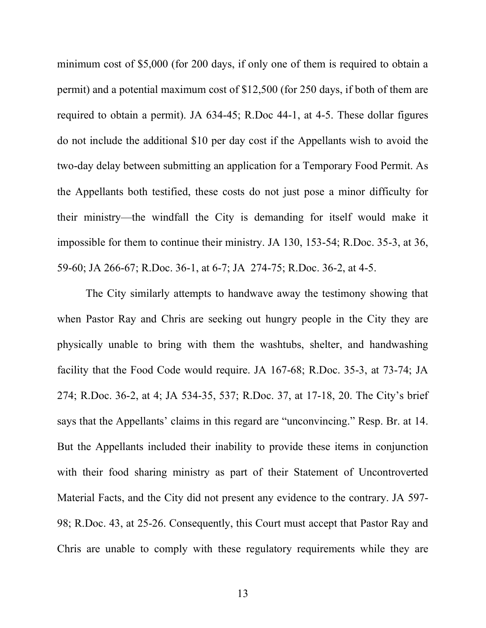minimum cost of \$5,000 (for 200 days, if only one of them is required to obtain a permit) and a potential maximum cost of \$12,500 (for 250 days, if both of them are required to obtain a permit). JA 634-45; R.Doc 44-1, at 4-5. These dollar figures do not include the additional \$10 per day cost if the Appellants wish to avoid the two-day delay between submitting an application for a Temporary Food Permit. As the Appellants both testified, these costs do not just pose a minor difficulty for their ministry—the windfall the City is demanding for itself would make it impossible for them to continue their ministry. JA 130, 153-54; R.Doc. 35-3, at 36, 59-60; JA 266-67; R.Doc. 36-1, at 6-7; JA 274-75; R.Doc. 36-2, at 4-5.

The City similarly attempts to handwave away the testimony showing that when Pastor Ray and Chris are seeking out hungry people in the City they are physically unable to bring with them the washtubs, shelter, and handwashing facility that the Food Code would require. JA 167-68; R.Doc. 35-3, at 73-74; JA 274; R.Doc. 36-2, at 4; JA 534-35, 537; R.Doc. 37, at 17-18, 20. The City's brief says that the Appellants' claims in this regard are "unconvincing." Resp. Br. at 14. But the Appellants included their inability to provide these items in conjunction with their food sharing ministry as part of their Statement of Uncontroverted Material Facts, and the City did not present any evidence to the contrary. JA 597- 98; R.Doc. 43, at 25-26. Consequently, this Court must accept that Pastor Ray and Chris are unable to comply with these regulatory requirements while they are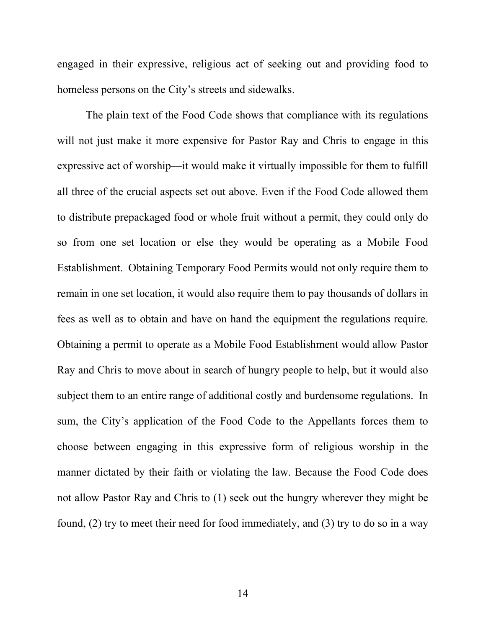engaged in their expressive, religious act of seeking out and providing food to homeless persons on the City's streets and sidewalks.

The plain text of the Food Code shows that compliance with its regulations will not just make it more expensive for Pastor Ray and Chris to engage in this expressive act of worship—it would make it virtually impossible for them to fulfill all three of the crucial aspects set out above. Even if the Food Code allowed them to distribute prepackaged food or whole fruit without a permit, they could only do so from one set location or else they would be operating as a Mobile Food Establishment. Obtaining Temporary Food Permits would not only require them to remain in one set location, it would also require them to pay thousands of dollars in fees as well as to obtain and have on hand the equipment the regulations require. Obtaining a permit to operate as a Mobile Food Establishment would allow Pastor Ray and Chris to move about in search of hungry people to help, but it would also subject them to an entire range of additional costly and burdensome regulations. In sum, the City's application of the Food Code to the Appellants forces them to choose between engaging in this expressive form of religious worship in the manner dictated by their faith or violating the law. Because the Food Code does not allow Pastor Ray and Chris to (1) seek out the hungry wherever they might be found, (2) try to meet their need for food immediately, and (3) try to do so in a way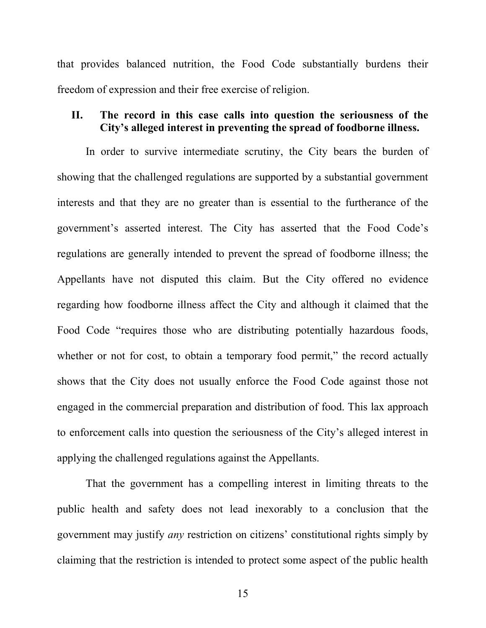that provides balanced nutrition, the Food Code substantially burdens their freedom of expression and their free exercise of religion.

#### II. The record in this case calls into question the seriousness of the City's alleged interest in preventing the spread of foodborne illness.

In order to survive intermediate scrutiny, the City bears the burden of showing that the challenged regulations are supported by a substantial government interests and that they are no greater than is essential to the furtherance of the government's asserted interest. The City has asserted that the Food Code's regulations are generally intended to prevent the spread of foodborne illness; the Appellants have not disputed this claim. But the City offered no evidence regarding how foodborne illness affect the City and although it claimed that the Food Code "requires those who are distributing potentially hazardous foods, whether or not for cost, to obtain a temporary food permit," the record actually shows that the City does not usually enforce the Food Code against those not engaged in the commercial preparation and distribution of food. This lax approach to enforcement calls into question the seriousness of the City's alleged interest in applying the challenged regulations against the Appellants.

That the government has a compelling interest in limiting threats to the public health and safety does not lead inexorably to a conclusion that the government may justify any restriction on citizens' constitutional rights simply by claiming that the restriction is intended to protect some aspect of the public health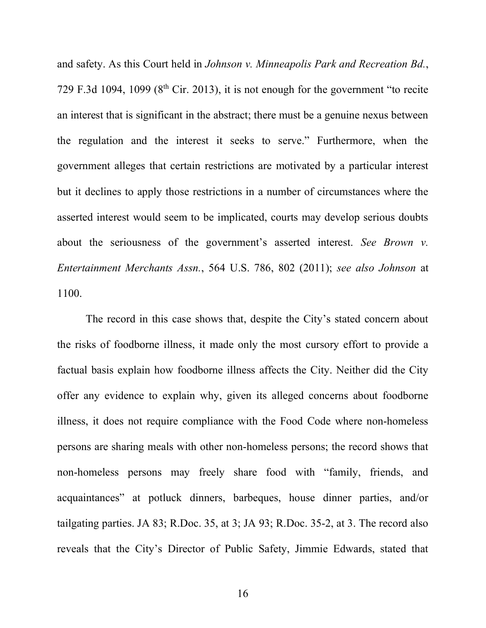and safety. As this Court held in Johnson v. Minneapolis Park and Recreation Bd., 729 F.3d 1094, 1099 ( $8<sup>th</sup>$  Cir. 2013), it is not enough for the government "to recite an interest that is significant in the abstract; there must be a genuine nexus between the regulation and the interest it seeks to serve." Furthermore, when the government alleges that certain restrictions are motivated by a particular interest but it declines to apply those restrictions in a number of circumstances where the asserted interest would seem to be implicated, courts may develop serious doubts about the seriousness of the government's asserted interest. See Brown v. Entertainment Merchants Assn., 564 U.S. 786, 802 (2011); see also Johnson at 1100.

The record in this case shows that, despite the City's stated concern about the risks of foodborne illness, it made only the most cursory effort to provide a factual basis explain how foodborne illness affects the City. Neither did the City offer any evidence to explain why, given its alleged concerns about foodborne illness, it does not require compliance with the Food Code where non-homeless persons are sharing meals with other non-homeless persons; the record shows that non-homeless persons may freely share food with "family, friends, and acquaintances" at potluck dinners, barbeques, house dinner parties, and/or tailgating parties. JA 83; R.Doc. 35, at 3; JA 93; R.Doc. 35-2, at 3. The record also reveals that the City's Director of Public Safety, Jimmie Edwards, stated that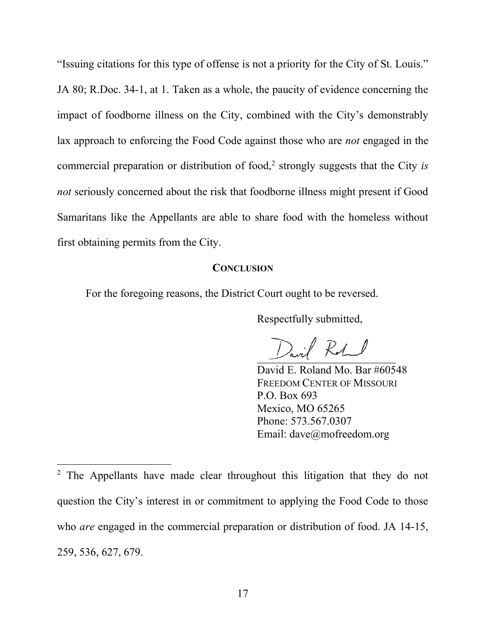"Issuing citations for this type of offense is not a priority for the City of St. Louis." JA 80; R.Doc. 34-1, at 1. Taken as a whole, the paucity of evidence concerning the impact of foodborne illness on the City, combined with the City's demonstrably lax approach to enforcing the Food Code against those who are not engaged in the commercial preparation or distribution of food,<sup>2</sup> strongly suggests that the City is not seriously concerned about the risk that foodborne illness might present if Good Samaritans like the Appellants are able to share food with the homeless without first obtaining permits from the City.

#### **CONCLUSION**

For the foregoing reasons, the District Court ought to be reversed.

Respectfully submitted,

 $\sum_{i}$  RA

David E. Roland Mo. Bar #60548 FREEDOM CENTER OF MISSOURI P.O. Box 693 Mexico, MO 65265 Phone: 573.567.0307 Email: dave@mofreedom.org

<sup>&</sup>lt;sup>2</sup> The Appellants have made clear throughout this litigation that they do not question the City's interest in or commitment to applying the Food Code to those who *are* engaged in the commercial preparation or distribution of food. JA 14-15, 259, 536, 627, 679.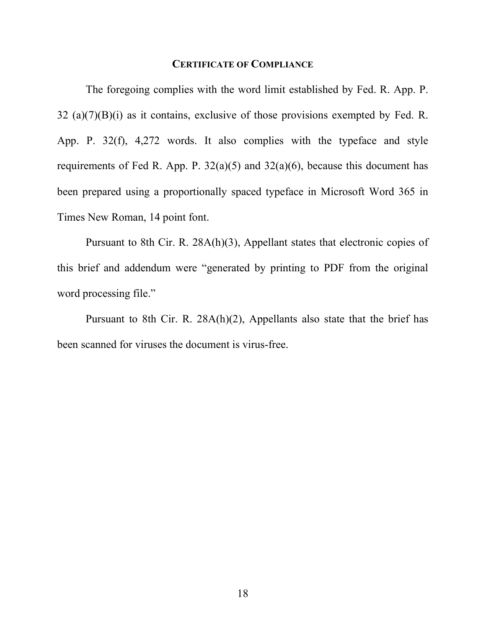#### CERTIFICATE OF COMPLIANCE

 The foregoing complies with the word limit established by Fed. R. App. P. 32 (a)(7)(B)(i) as it contains, exclusive of those provisions exempted by Fed. R. App. P. 32(f), 4,272 words. It also complies with the typeface and style requirements of Fed R. App. P.  $32(a)(5)$  and  $32(a)(6)$ , because this document has been prepared using a proportionally spaced typeface in Microsoft Word 365 in Times New Roman, 14 point font.

 Pursuant to 8th Cir. R. 28A(h)(3), Appellant states that electronic copies of this brief and addendum were "generated by printing to PDF from the original word processing file."

 Pursuant to 8th Cir. R. 28A(h)(2), Appellants also state that the brief has been scanned for viruses the document is virus-free.